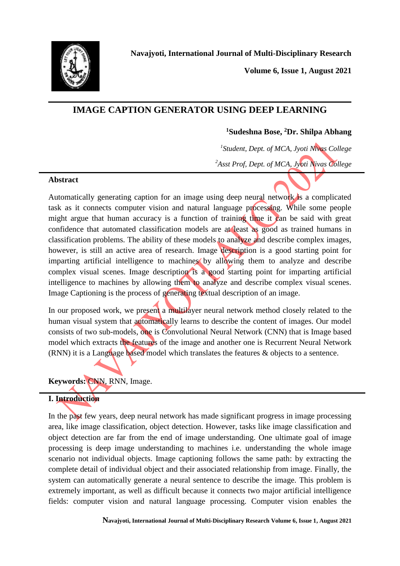

**Volume 6, Issue 1, August 2021**

# **IMAGE CAPTION GENERATOR USING DEEP LEARNING**

## **<sup>1</sup>Sudeshna Bose, <sup>2</sup>Dr. Shilpa Abhang**

*1 Student, Dept. of MCA, Jyoti Nivas College <sup>2</sup>Asst Prof, Dept. of MCA, Jyoti Nivas College*

#### **Abstract**

Automatically generating caption for an image using deep neural network is a complicated task as it connects computer vision and natural language processing. While some people might argue that human accuracy is a function of training time it can be said with great confidence that automated classification models are at least as good as trained humans in classification problems. The ability of these models to analyze and describe complex images, however, is still an active area of research. Image description is a good starting point for imparting artificial intelligence to machines by allowing them to analyze and describe complex visual scenes. Image description is a good starting point for imparting artificial intelligence to machines by allowing them to analyze and describe complex visual scenes. Image Captioning is the process of generating textual description of an image.

In our proposed work, we present a multilayer neural network method closely related to the human visual system that automatically learns to describe the content of images. Our model consists of two sub-models, one is Convolutional Neural Network (CNN) that is Image based model which extracts the features of the image and another one is Recurrent Neural Network (RNN) it is a Language based model which translates the features & objects to a sentence.

**Keywords:** CNN, RNN, Image.

# **I. Introduction**

In the past few years, deep neural network has made significant progress in image processing area, like image classification, object detection. However, tasks like image classification and object detection are far from the end of image understanding. One ultimate goal of image processing is deep image understanding to machines i.e. understanding the whole image scenario not individual objects. Image captioning follows the same path: by extracting the complete detail of individual object and their associated relationship from image. Finally, the system can automatically generate a neural sentence to describe the image. This problem is extremely important, as well as difficult because it connects two major artificial intelligence fields: computer vision and natural language processing. Computer vision enables the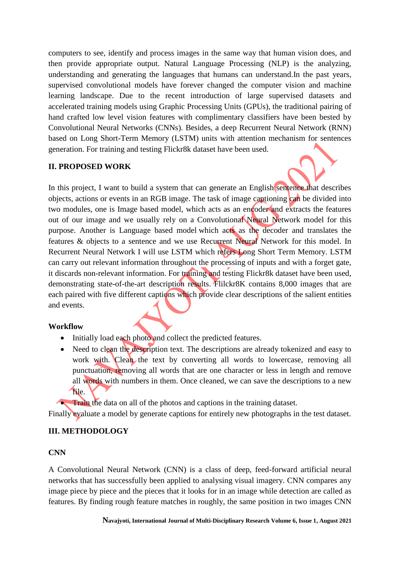computers to see, identify and process images in the same way that human vision does, and then provide appropriate output. Natural Language Processing (NLP) is the analyzing, understanding and generating the languages that humans can understand.In the past years, supervised convolutional models have forever changed the computer vision and machine learning landscape. Due to the recent introduction of large supervised datasets and accelerated training models using Graphic Processing Units (GPUs), the traditional pairing of hand crafted low level vision features with complimentary classifiers have been bested by Convolutional Neural Networks (CNNs). Besides, a deep Recurrent Neural Network (RNN) based on Long Short-Term Memory (LSTM) units with attention mechanism for sentences generation. For training and testing Flickr8k dataset have been used.

### **II. PROPOSED WORK**

In this project, I want to build a system that can generate an English sentence that describes objects, actions or events in an RGB image. The task of image captioning can be divided into two modules, one is Image based model, which acts as an encoder and extracts the features out of our image and we usually rely on a Convolutional Neural Network model for this purpose. Another is Language based model which acts as the decoder and translates the features & objects to a sentence and we use Recurrent Neural Network for this model. In Recurrent Neural Network I will use LSTM which refers Long Short Term Memory. LSTM can carry out relevant information throughout the processing of inputs and with a forget gate, it discards non-relevant information. For training and testing Flickr8k dataset have been used, demonstrating state-of-the-art description results. Flilckr8K contains 8,000 images that are each paired with five different captions which provide clear descriptions of the salient entities and events.

### **Workflow**

- Initially load each photo and collect the predicted features.
- Need to clean the description text. The descriptions are already tokenized and easy to work with. Clean the text by converting all words to lowercase, removing all punctuation, removing all words that are one character or less in length and remove all words with numbers in them. Once cleaned, we can save the descriptions to a new file.

Train the data on all of the photos and captions in the training dataset.

Finally evaluate a model by generate captions for entirely new photographs in the test dataset.

### **III. METHODOLOGY**

### **CNN**

A Convolutional Neural Network (CNN) is a class of deep, feed-forward artificial neural networks that has successfully been applied to analysing visual imagery. CNN compares any image piece by piece and the pieces that it looks for in an image while detection are called as features. By finding rough feature matches in roughly, the same position in two images CNN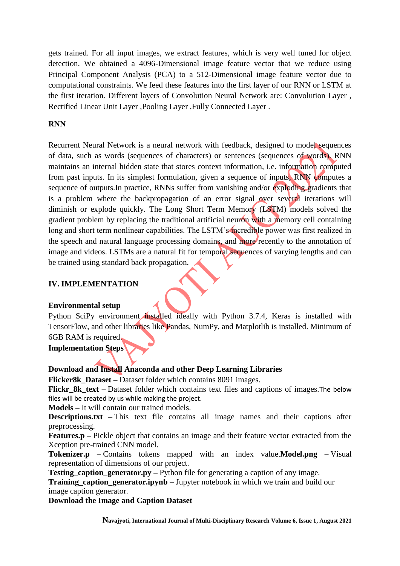gets trained. For all input images, we extract features, which is very well tuned for object detection. We obtained a 4096-Dimensional image feature vector that we reduce using Principal Component Analysis (PCA) to a 512-Dimensional image feature vector due to computational constraints. We feed these features into the first layer of our RNN or LSTM at the first iteration. Different layers of Convolution Neural Network are: Convolution Layer , Rectified Linear Unit Layer ,Pooling Layer ,Fully Connected Layer .

#### **RNN**

Recurrent Neural Network is a neural network with feedback, designed to model sequences of data, such as words (sequences of characters) or sentences (sequences of words). RNN maintains an internal hidden state that stores context information, i.e. information computed from past inputs. In its simplest formulation, given a sequence of inputs, RNN computes a sequence of outputs. In practice, RNNs suffer from vanishing and/or exploding gradients that is a problem where the backpropagation of an error signal over several iterations will diminish or explode quickly. The Long Short Term Memory (LSTM) models solved the gradient problem by replacing the traditional artificial neuron with a memory cell containing long and short term nonlinear capabilities. The LSTM's incredible power was first realized in the speech and natural language processing domains, and more recently to the annotation of image and videos. LSTMs are a natural fit for temporal sequences of varying lengths and can be trained using standard back propagation.

#### **IV. IMPLEMENTATION**

#### **Environmental setup**

Python SciPy environment installed ideally with Python 3.7.4, Keras is installed with TensorFlow, and other libraries like Pandas, NumPy, and Matplotlib is installed. Minimum of 6GB RAM is required.

**Implementation Steps**

#### **Download and Install Anaconda and other Deep Learning Libraries**

**Flicker8k\_Dataset –** Dataset folder which contains 8091 images.

**Flickr\_8k\_text –** Dataset folder which contains text files and captions of images.The below files will be created by us while making the project.

**Models –** It will contain our trained models.

**Descriptions.txt –** This text file contains all image names and their captions after preprocessing.

**Features.p –** Pickle object that contains an image and their feature vector extracted from the Xception pre-trained CNN model.

**Tokenizer.p –** Contains tokens mapped with an index value.**Model.png –** Visual representation of dimensions of our project.

**Testing\_caption\_generator.py** – Python file for generating a caption of any image.

**Training caption generator.ipynb – Jupyter notebook in which we train and build our** image caption generator.

**Download the Image and Caption Dataset**

**Navajyoti, International Journal of Multi-Disciplinary Research Volume 6, Issue 1, August 2021**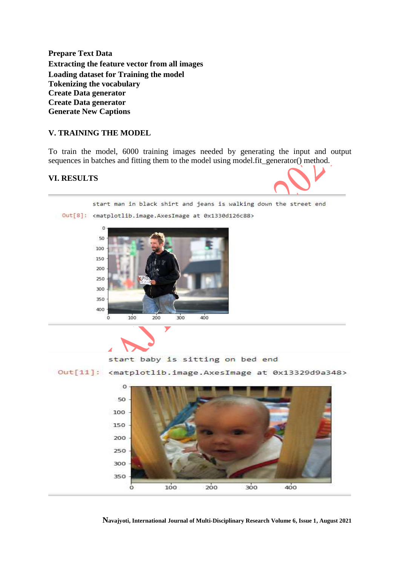**Prepare Text Data Extracting the feature vector from all images Loading dataset for Training the model Tokenizing the vocabulary Create Data generator Create Data generator Generate New Captions**

#### **V. TRAINING THE MODEL**

To train the model, 6000 training images needed by generating the input and output sequences in batches and fitting them to the model using model. Fit\_generator() method.

#### **VI. RESULTS**



start man in black shirt and jeans is walking down the street end

Out[8]: <matplotlib.image.AxesImage at 0x1330d126c88>





start baby is sitting on bed end

Out[11]: <matplotlib.image.AxesImage at 0x13329d9a348>



**Navajyoti, International Journal of Multi-Disciplinary Research Volume 6, Issue 1, August 2021**